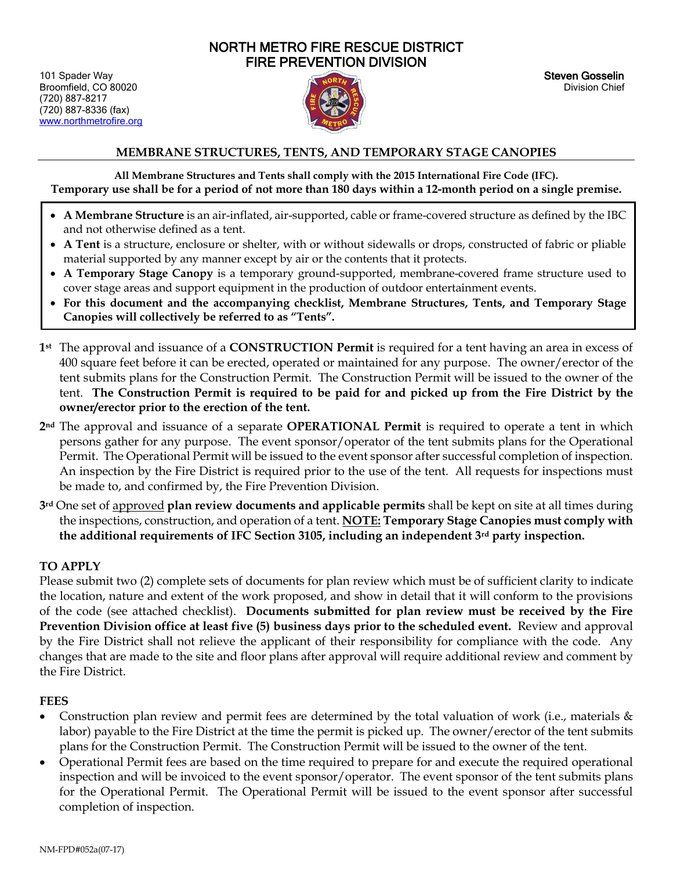# NORTH METRO FIRE RESCUE DISTRICT FIRE PREVENTION DIVISION

101 Spader Way Steven Gosselin National Contract of the Steven Gosselin National Steven Gosselin Broomfield, CO 80020 Division Chief (720) 887-8217 (720) 887-8336 (fax) [www.northmetrofire.org](http://www.northmetrofire.org/) 



### **MEMBRANE STRUCTURES, TENTS, AND TEMPORARY STAGE CANOPIES**

**All Membrane Structures and Tents shall comply with the 2015 International Fire Code (IFC). Temporary use shall be for a period of not more than 180 days within a 12-month period on a single premise.**

- **A Membrane Structure** is an air-inflated, air-supported, cable or frame-covered structure as defined by the IBC and not otherwise defined as a tent.
- **A Tent** is a structure, enclosure or shelter, with or without sidewalls or drops, constructed of fabric or pliable material supported by any manner except by air or the contents that it protects.
- **A Temporary Stage Canopy** is a temporary ground-supported, membrane-covered frame structure used to cover stage areas and support equipment in the production of outdoor entertainment events.
- **For this document and the accompanying checklist, Membrane Structures, Tents, and Temporary Stage Canopies will collectively be referred to as "Tents".**
- **1st** The approval and issuance of a **CONSTRUCTION Permit** is required for a tent having an area in excess of 400 square feet before it can be erected, operated or maintained for any purpose. The owner/erector of the tent submits plans for the Construction Permit. The Construction Permit will be issued to the owner of the tent. **The Construction Permit is required to be paid for and picked up from the Fire District by the owner/erector prior to the erection of the tent.**
- **2nd** The approval and issuance of a separate **OPERATIONAL Permit** is required to operate a tent in which persons gather for any purpose. The event sponsor/operator of the tent submits plans for the Operational Permit. The Operational Permit will be issued to the event sponsor after successful completion of inspection. An inspection by the Fire District is required prior to the use of the tent. All requests for inspections must be made to, and confirmed by, the Fire Prevention Division.
- **3rd** One set of approved **plan review documents and applicable permits** shall be kept on site at all times during the inspections, construction, and operation of a tent. **NOTE: Temporary Stage Canopies must comply with the additional requirements of IFC Section 3105, including an independent 3rd party inspection.**

## **TO APPLY**

İ

Please submit two (2) complete sets of documents for plan review which must be of sufficient clarity to indicate the location, nature and extent of the work proposed, and show in detail that it will conform to the provisions of the code (see attached checklist). **Documents submitted for plan review must be received by the Fire Prevention Division office at least five (5) business days prior to the scheduled event.** Review and approval by the Fire District shall not relieve the applicant of their responsibility for compliance with the code. Any changes that are made to the site and floor plans after approval will require additional review and comment by the Fire District.

## **FEES**

- Construction plan review and permit fees are determined by the total valuation of work (i.e., materials  $\&$ labor) payable to the Fire District at the time the permit is picked up. The owner/erector of the tent submits plans for the Construction Permit. The Construction Permit will be issued to the owner of the tent.
- Operational Permit fees are based on the time required to prepare for and execute the required operational inspection and will be invoiced to the event sponsor/operator. The event sponsor of the tent submits plans for the Operational Permit. The Operational Permit will be issued to the event sponsor after successful completion of inspection.